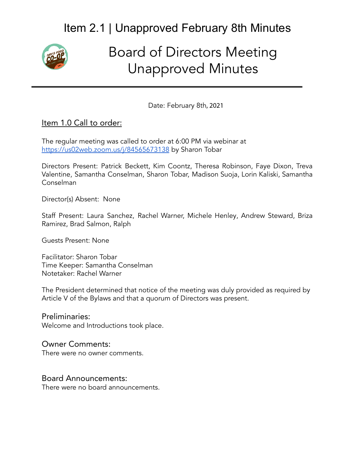

# Board of Directors Meeting Unapproved Minutes

Date: February 8th, 2021

#### Item 1.0 Call to order:

The regular meeting was called to order at 6:00 PM via webinar at <https://us02web.zoom.us/j/84565673138> by Sharon Tobar

Directors Present: Patrick Beckett, Kim Coontz, Theresa Robinson, Faye Dixon, Treva Valentine, Samantha Conselman, Sharon Tobar, Madison Suoja, Lorin Kaliski, Samantha Conselman

Director(s) Absent: None

Staff Present: Laura Sanchez, Rachel Warner, Michele Henley, Andrew Steward, Briza Ramirez, Brad Salmon, Ralph

Guests Present: None

Facilitator: Sharon Tobar Time Keeper: Samantha Conselman Notetaker: Rachel Warner

The President determined that notice of the meeting was duly provided as required by Article V of the Bylaws and that a quorum of Directors was present.

Preliminaries: Welcome and Introductions took place.

#### Owner Comments:

There were no owner comments.

#### Board Announcements:

There were no board announcements.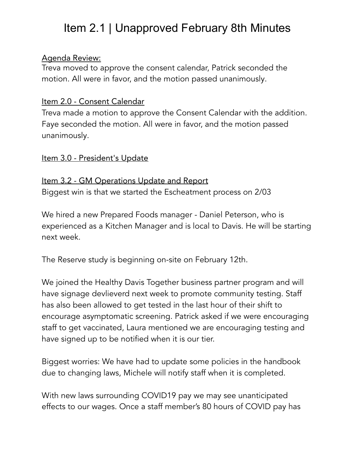### Agenda Review:

Treva moved to approve the consent calendar, Patrick seconded the motion. All were in favor, and the motion passed unanimously.

## Item 2.0 - Consent Calendar

Treva made a motion to approve the Consent Calendar with the addition. Faye seconded the motion. All were in favor, and the motion passed unanimously.

### Item 3.0 - President's Update

Item 3.2 - GM Operations Update and Report Biggest win is that we started the Escheatment process on 2/03

We hired a new Prepared Foods manager - Daniel Peterson, who is experienced as a Kitchen Manager and is local to Davis. He will be starting next week.

The Reserve study is beginning on-site on February 12th.

We joined the Healthy Davis Together business partner program and will have signage devlieverd next week to promote community testing. Staff has also been allowed to get tested in the last hour of their shift to encourage asymptomatic screening. Patrick asked if we were encouraging staff to get vaccinated, Laura mentioned we are encouraging testing and have signed up to be notified when it is our tier.

Biggest worries: We have had to update some policies in the handbook due to changing laws, Michele will notify staff when it is completed.

With new laws surrounding COVID19 pay we may see unanticipated effects to our wages. Once a staff member's 80 hours of COVID pay has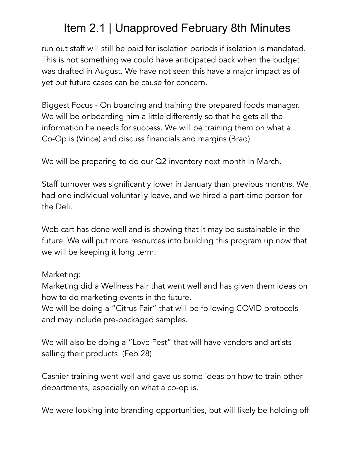run out staff will still be paid for isolation periods if isolation is mandated. This is not something we could have anticipated back when the budget was drafted in August. We have not seen this have a major impact as of yet but future cases can be cause for concern.

Biggest Focus - On boarding and training the prepared foods manager. We will be onboarding him a little differently so that he gets all the information he needs for success. We will be training them on what a Co-Op is (Vince) and discuss financials and margins (Brad).

We will be preparing to do our Q2 inventory next month in March.

Staff turnover was significantly lower in January than previous months. We had one individual voluntarily leave, and we hired a part-time person for the Deli.

Web cart has done well and is showing that it may be sustainable in the future. We will put more resources into building this program up now that we will be keeping it long term.

## Marketing:

Marketing did a Wellness Fair that went well and has given them ideas on how to do marketing events in the future.

We will be doing a "Citrus Fair" that will be following COVID protocols and may include pre-packaged samples.

We will also be doing a "Love Fest" that will have vendors and artists selling their products (Feb 28)

Cashier training went well and gave us some ideas on how to train other departments, especially on what a co-op is.

We were looking into branding opportunities, but will likely be holding off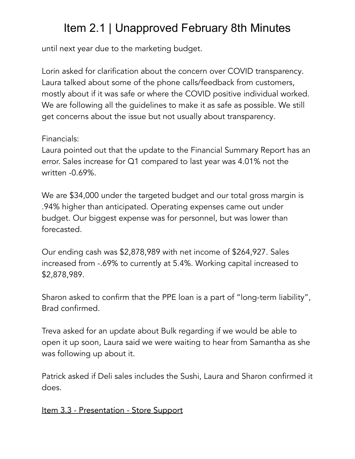until next year due to the marketing budget.

Lorin asked for clarification about the concern over COVID transparency. Laura talked about some of the phone calls/feedback from customers, mostly about if it was safe or where the COVID positive individual worked. We are following all the guidelines to make it as safe as possible. We still get concerns about the issue but not usually about transparency.

## Financials:

Laura pointed out that the update to the Financial Summary Report has an error. Sales increase for Q1 compared to last year was 4.01% not the written -0.69%.

We are \$34,000 under the targeted budget and our total gross margin is .94% higher than anticipated. Operating expenses came out under budget. Our biggest expense was for personnel, but was lower than forecasted.

Our ending cash was \$2,878,989 with net income of \$264,927. Sales increased from -.69% to currently at 5.4%. Working capital increased to \$2,878,989.

Sharon asked to confirm that the PPE loan is a part of "long-term liability", Brad confirmed.

Treva asked for an update about Bulk regarding if we would be able to open it up soon, Laura said we were waiting to hear from Samantha as she was following up about it.

Patrick asked if Deli sales includes the Sushi, Laura and Sharon confirmed it does.

Item 3.3 - Presentation - Store Support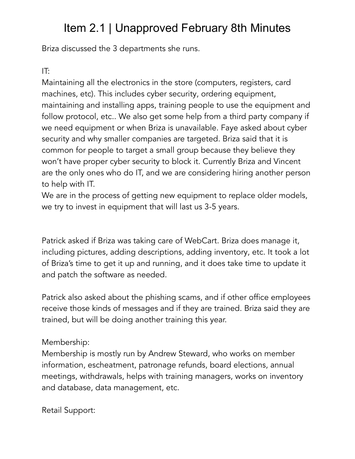Briza discussed the 3 departments she runs.

# IT:

Maintaining all the electronics in the store (computers, registers, card machines, etc). This includes cyber security, ordering equipment, maintaining and installing apps, training people to use the equipment and follow protocol, etc.. We also get some help from a third party company if we need equipment or when Briza is unavailable. Faye asked about cyber security and why smaller companies are targeted. Briza said that it is common for people to target a small group because they believe they won't have proper cyber security to block it. Currently Briza and Vincent are the only ones who do IT, and we are considering hiring another person to help with IT.

We are in the process of getting new equipment to replace older models, we try to invest in equipment that will last us 3-5 years.

Patrick asked if Briza was taking care of WebCart. Briza does manage it, including pictures, adding descriptions, adding inventory, etc. It took a lot of Briza's time to get it up and running, and it does take time to update it and patch the software as needed.

Patrick also asked about the phishing scams, and if other office employees receive those kinds of messages and if they are trained. Briza said they are trained, but will be doing another training this year.

# Membership:

Membership is mostly run by Andrew Steward, who works on member information, escheatment, patronage refunds, board elections, annual meetings, withdrawals, helps with training managers, works on inventory and database, data management, etc.

Retail Support: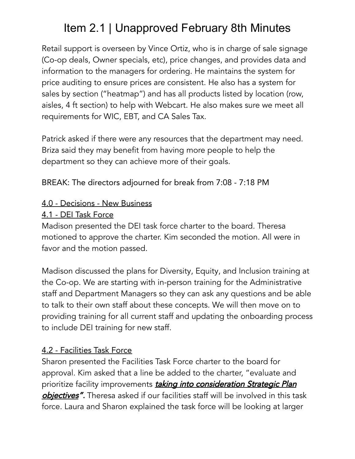Retail support is overseen by Vince Ortiz, who is in charge of sale signage (Co-op deals, Owner specials, etc), price changes, and provides data and information to the managers for ordering. He maintains the system for price auditing to ensure prices are consistent. He also has a system for sales by section ("heatmap") and has all products listed by location (row, aisles, 4 ft section) to help with Webcart. He also makes sure we meet all requirements for WIC, EBT, and CA Sales Tax.

Patrick asked if there were any resources that the department may need. Briza said they may benefit from having more people to help the department so they can achieve more of their goals.

BREAK: The directors adjourned for break from 7:08 - 7:18 PM

## 4.0 - Decisions - New Business

## 4.1 - DEI Task Force

Madison presented the DEI task force charter to the board. Theresa motioned to approve the charter. Kim seconded the motion. All were in favor and the motion passed.

Madison discussed the plans for Diversity, Equity, and Inclusion training at the Co-op. We are starting with in-person training for the Administrative staff and Department Managers so they can ask any questions and be able to talk to their own staff about these concepts. We will then move on to providing training for all current staff and updating the onboarding process to include DEI training for new staff.

# 4.2 - Facilities Task Force

Sharon presented the Facilities Task Force charter to the board for approval. Kim asked that a line be added to the charter, "evaluate and prioritize facility improvements taking into consideration Strategic Plan objectives". Theresa asked if our facilities staff will be involved in this task force. Laura and Sharon explained the task force will be looking at larger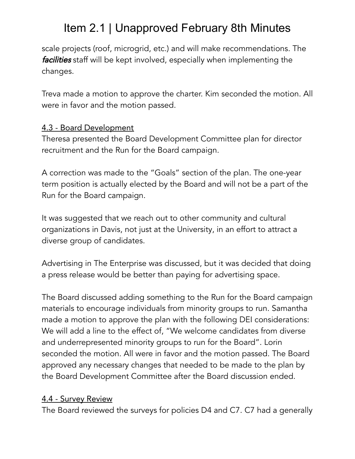scale projects (roof, microgrid, etc.) and will make recommendations. The facilities staff will be kept involved, especially when implementing the changes.

Treva made a motion to approve the charter. Kim seconded the motion. All were in favor and the motion passed.

## 4.3 - Board Development

Theresa presented the Board Development Committee plan for director recruitment and the Run for the Board campaign.

A correction was made to the "Goals" section of the plan. The one-year term position is actually elected by the Board and will not be a part of the Run for the Board campaign.

It was suggested that we reach out to other community and cultural organizations in Davis, not just at the University, in an effort to attract a diverse group of candidates.

Advertising in The Enterprise was discussed, but it was decided that doing a press release would be better than paying for advertising space.

The Board discussed adding something to the Run for the Board campaign materials to encourage individuals from minority groups to run. Samantha made a motion to approve the plan with the following DEI considerations: We will add a line to the effect of, "We welcome candidates from diverse and underrepresented minority groups to run for the Board". Lorin seconded the motion. All were in favor and the motion passed. The Board approved any necessary changes that needed to be made to the plan by the Board Development Committee after the Board discussion ended.

## 4.4 - Survey Review

The Board reviewed the surveys for policies D4 and C7. C7 had a generally